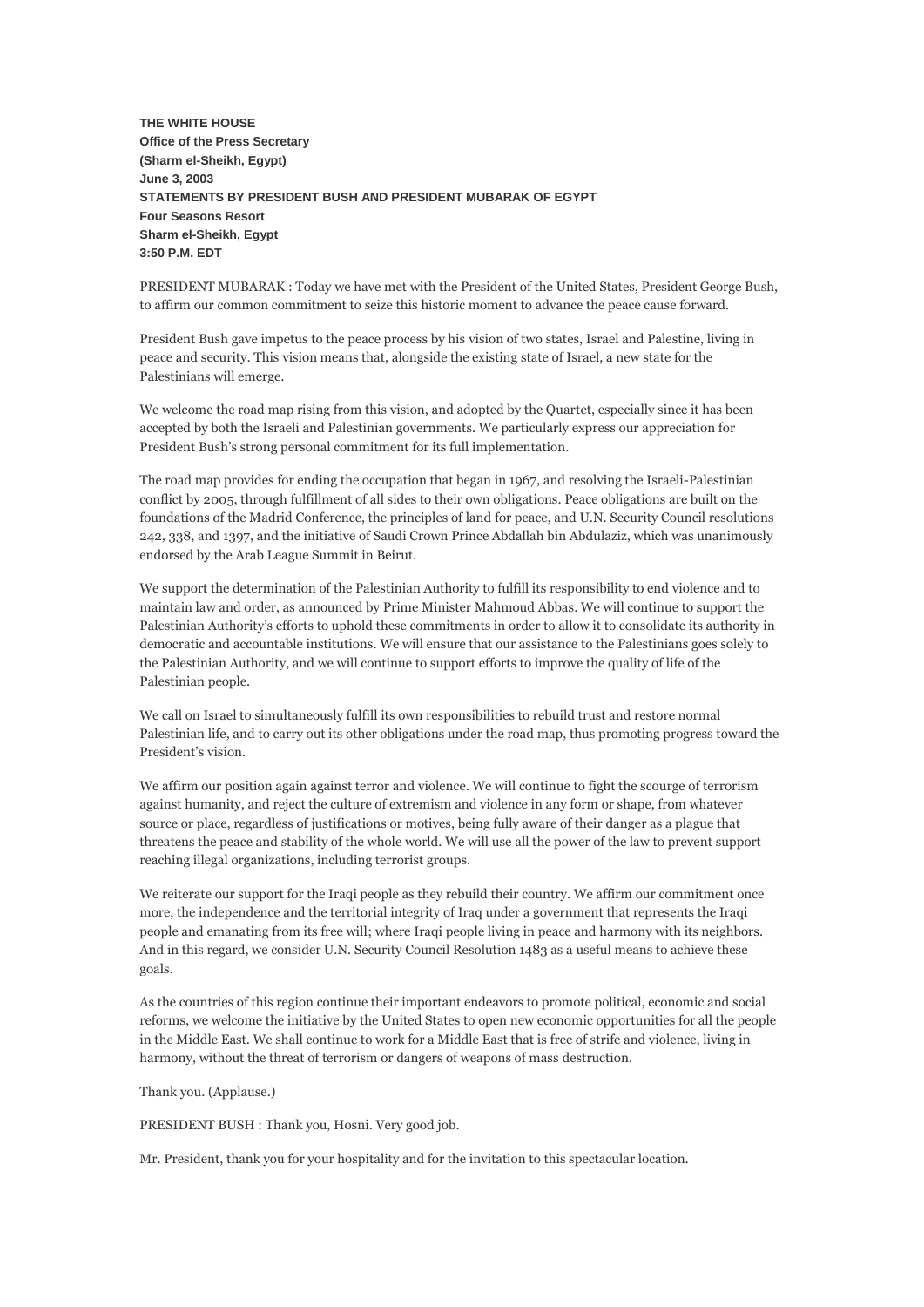**THE WHITE HOUSE Office of the Press Secretary (Sharm el-Sheikh, Egypt) June 3, 2003 STATEMENTS BY PRESIDENT BUSH AND PRESIDENT MUBARAK OF EGYPT Four Seasons Resort Sharm el-Sheikh, Egypt 3:50 P.M. EDT**

PRESIDENT MUBARAK : Today we have met with the President of the United States, President George Bush, to affirm our common commitment to seize this historic moment to advance the peace cause forward.

President Bush gave impetus to the peace process by his vision of two states, Israel and Palestine, living in peace and security. This vision means that, alongside the existing state of Israel, a new state for the Palestinians will emerge.

We welcome the road map rising from this vision, and adopted by the Quartet, especially since it has been accepted by both the Israeli and Palestinian governments. We particularly express our appreciation for President Bush's strong personal commitment for its full implementation.

The road map provides for ending the occupation that began in 1967, and resolving the Israeli-Palestinian conflict by 2005, through fulfillment of all sides to their own obligations. Peace obligations are built on the foundations of the Madrid Conference, the principles of land for peace, and U.N. Security Council resolutions 242, 338, and 1397, and the initiative of Saudi Crown Prince Abdallah bin Abdulaziz, which was unanimously endorsed by the Arab League Summit in Beirut.

We support the determination of the Palestinian Authority to fulfill its responsibility to end violence and to maintain law and order, as announced by Prime Minister Mahmoud Abbas. We will continue to support the Palestinian Authority's efforts to uphold these commitments in order to allow it to consolidate its authority in democratic and accountable institutions. We will ensure that our assistance to the Palestinians goes solely to the Palestinian Authority, and we will continue to support efforts to improve the quality of life of the Palestinian people.

We call on Israel to simultaneously fulfill its own responsibilities to rebuild trust and restore normal Palestinian life, and to carry out its other obligations under the road map, thus promoting progress toward the President's vision.

We affirm our position again against terror and violence. We will continue to fight the scourge of terrorism against humanity, and reject the culture of extremism and violence in any form or shape, from whatever source or place, regardless of justifications or motives, being fully aware of their danger as a plague that threatens the peace and stability of the whole world. We will use all the power of the law to prevent support reaching illegal organizations, including terrorist groups.

We reiterate our support for the Iraqi people as they rebuild their country. We affirm our commitment once more, the independence and the territorial integrity of Iraq under a government that represents the Iraqi people and emanating from its free will; where Iraqi people living in peace and harmony with its neighbors. And in this regard, we consider U.N. Security Council Resolution 1483 as a useful means to achieve these goals.

As the countries of this region continue their important endeavors to promote political, economic and social reforms, we welcome the initiative by the United States to open new economic opportunities for all the people in the Middle East. We shall continue to work for a Middle East that is free of strife and violence, living in harmony, without the threat of terrorism or dangers of weapons of mass destruction.

## Thank you. (Applause.)

PRESIDENT BUSH : Thank you, Hosni. Very good job.

Mr. President, thank you for your hospitality and for the invitation to this spectacular location.